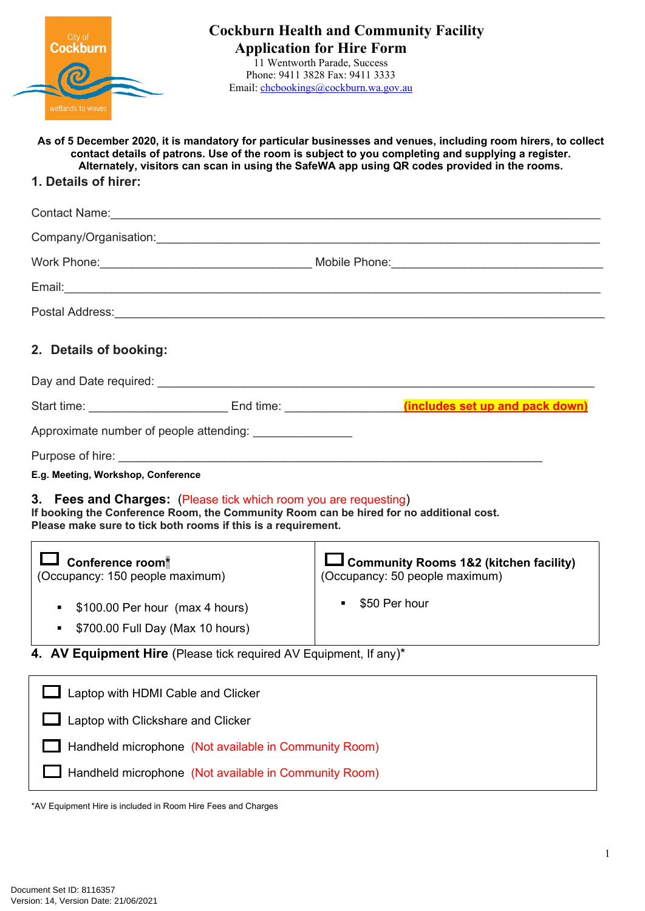| City of Cockburn  |  |
|-------------------|--|
|                   |  |
| wetlands to waves |  |

11 Wentworth Parade, Success Phone: 9411 3828 Fax: 9411 3333 Email: [chcbookings@cockburn.wa.gov.au](mailto:chcbookings@cockburn.wa.gov.au)

**As of 5 December 2020, it is mandatory for particular businesses and venues, including room hirers, to collect contact details of patrons. Use of the room is subject to you completing and supplying a register. Alternately, visitors can scan in using the SafeWA app using QR codes provided in the rooms.**

## **1. Details of hirer:**

| 2. Details of booking:                                                      |                                                                                                                                   |                                                                                         |  |  |
|-----------------------------------------------------------------------------|-----------------------------------------------------------------------------------------------------------------------------------|-----------------------------------------------------------------------------------------|--|--|
|                                                                             |                                                                                                                                   |                                                                                         |  |  |
|                                                                             |                                                                                                                                   |                                                                                         |  |  |
|                                                                             | Approximate number of people attending:                                                                                           |                                                                                         |  |  |
|                                                                             |                                                                                                                                   |                                                                                         |  |  |
| E.g. Meeting, Workshop, Conference                                          |                                                                                                                                   |                                                                                         |  |  |
|                                                                             | 3. Fees and Charges: (Please tick which room you are requesting)<br>Please make sure to tick both rooms if this is a requirement. | If booking the Conference Room, the Community Room can be hired for no additional cost. |  |  |
| $\overline{\mathsf{J}}$ Conference room*<br>(Occupancy: 150 people maximum) |                                                                                                                                   | $\Box$ Community Rooms 1&2 (kitchen facility)<br>(Occupancy: 50 people maximum)         |  |  |
| \$100.00 Per hour (max 4 hours)                                             |                                                                                                                                   | \$50 Per hour<br>$\blacksquare$                                                         |  |  |
| \$700.00 Full Day (Max 10 hours)<br>$\blacksquare$                          |                                                                                                                                   |                                                                                         |  |  |
| 4. AV Equipment Hire (Please tick required AV Equipment, If any)*           |                                                                                                                                   |                                                                                         |  |  |
| Laptop with HDMI Cable and Clicker                                          |                                                                                                                                   |                                                                                         |  |  |
| Laptop with Clickshare and Clicker                                          |                                                                                                                                   |                                                                                         |  |  |

Handheld microphone (Not available in Community Room)

Handheld microphone (Not available in Community Room)

\*AV Equipment Hire is included in Room Hire Fees and Charges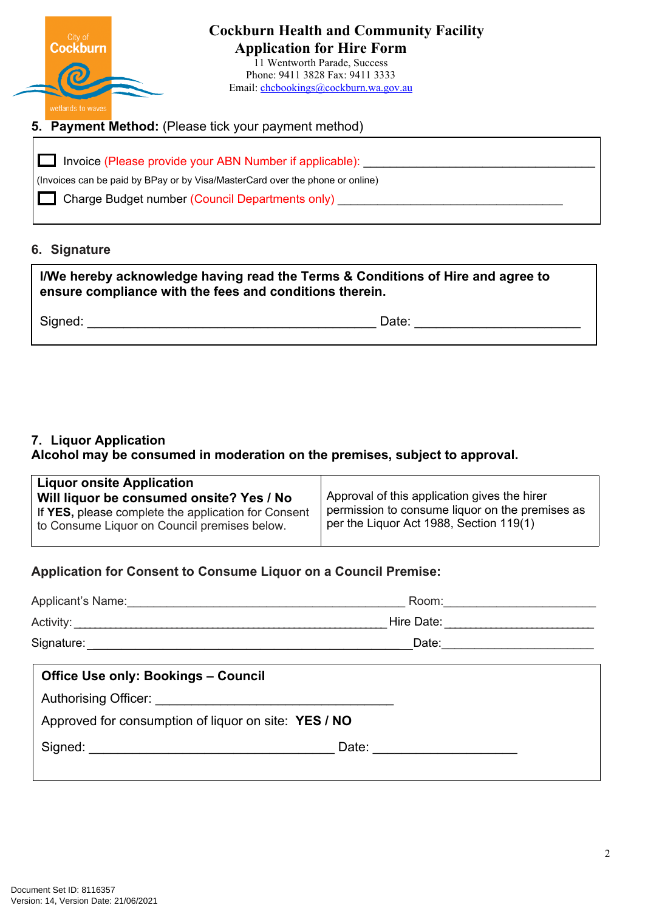

Charge Budget number (Council Departments only) \_\_\_\_\_\_\_\_\_\_\_\_\_\_\_\_\_\_\_\_\_\_\_\_\_\_\_\_\_\_\_\_

### **6. Signature**

| I/We hereby acknowledge having read the Terms & Conditions of Hire and agree to<br>ensure compliance with the fees and conditions therein. |       |  |
|--------------------------------------------------------------------------------------------------------------------------------------------|-------|--|
| Signed:                                                                                                                                    | Date: |  |

## **7. Liquor Application**

**Alcohol may be consumed in moderation on the premises, subject to approval.**

| <b>Liquor onsite Application</b>                    |                                                 |
|-----------------------------------------------------|-------------------------------------------------|
| Will liquor be consumed onsite? Yes / No            | Approval of this application gives the hirer    |
| If YES, please complete the application for Consent | permission to consume liquor on the premises as |
| to Consume Liquor on Council premises below.        | per the Liquor Act 1988, Section 119(1)         |

## **Application for Consent to Consume Liquor on a Council Premise:**

| Applicant's Name: 1990 Manual Manual Manual Manual Manual Manual Manual Manual Manual Manual Manual Manual Manual Ma |            |  |
|----------------------------------------------------------------------------------------------------------------------|------------|--|
|                                                                                                                      | Hire Date: |  |
|                                                                                                                      |            |  |
| <b>Office Use only: Bookings - Council</b>                                                                           |            |  |
|                                                                                                                      |            |  |
| Approved for consumption of liquor on site: YES / NO                                                                 |            |  |
|                                                                                                                      |            |  |
|                                                                                                                      |            |  |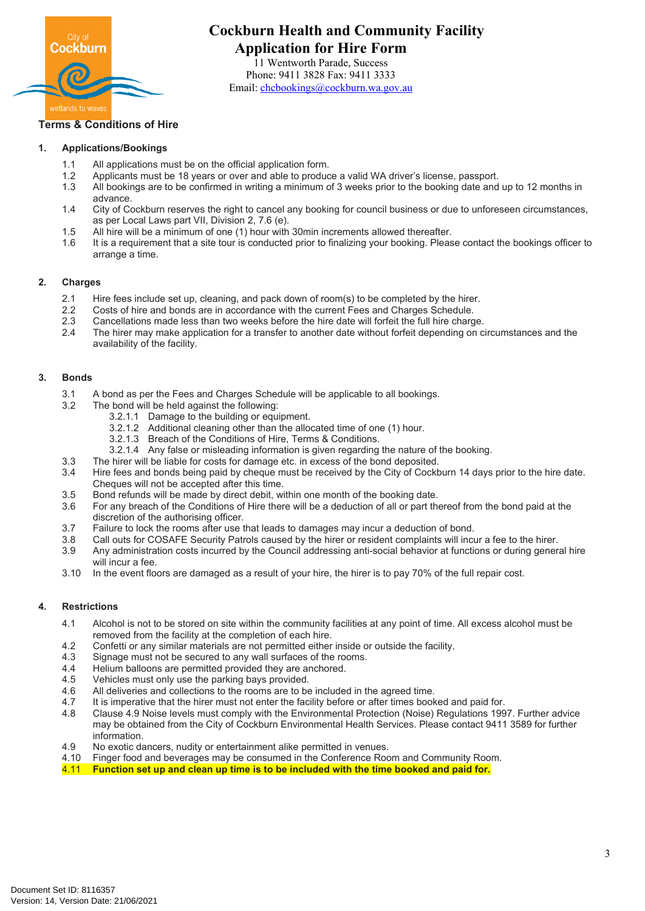

# **Cockburn Health and Community Facility Application for Hire Form**

11 Wentworth Parade, Success Phone: 9411 3828 Fax: 9411 3333 Email: [chcbookings@cockburn.wa.gov.au](mailto:chcbookings@cockburn.wa.gov.au)

### **Terms & Conditions of Hire**

#### **1. Applications/Bookings**

- 1.1 All applications must be on the official application form.
- 1.2 Applicants must be 18 years or over and able to produce a valid WA driver's license, passport.<br>1.3 All bookings are to be confirmed in writing a minimum of 3 weeks prior to the booking date and
- All bookings are to be confirmed in writing a minimum of 3 weeks prior to the booking date and up to 12 months in advance.
- 1.4 City of Cockburn reserves the right to cancel any booking for council business or due to unforeseen circumstances, as per Local Laws part VII, Division 2, 7.6 (e).
- 1.5 All hire will be a minimum of one (1) hour with 30min increments allowed thereafter.
- 1.6 It is a requirement that a site tour is conducted prior to finalizing your booking. Please contact the bookings officer to arrange a time.

#### **2. Charges**

- 2.1 Hire fees include set up, cleaning, and pack down of room(s) to be completed by the hirer.
- 2.2 Costs of hire and bonds are in accordance with the current Fees and Charges Schedule.
- 2.3 Cancellations made less than two weeks before the hire date will forfeit the full hire charge.
- 2.4 The hirer may make application for a transfer to another date without forfeit depending on circumstances and the availability of the facility.

#### **3. Bonds**

- 3.1 A bond as per the Fees and Charges Schedule will be applicable to all bookings.
- 3.2 The bond will be held against the following:
	- 3.2.1.1 Damage to the building or equipment.
	- 3.2.1.2 Additional cleaning other than the allocated time of one (1) hour.
	- 3.2.1.3 Breach of the Conditions of Hire, Terms & Conditions.
	- 3.2.1.4 Any false or misleading information is given regarding the nature of the booking.
- 3.3 The hirer will be liable for costs for damage etc. in excess of the bond deposited.
- 3.4 Hire fees and bonds being paid by cheque must be received by the City of Cockburn 14 days prior to the hire date. Cheques will not be accepted after this time.
- 3.5 Bond refunds will be made by direct debit, within one month of the booking date.
- 3.6 For any breach of the Conditions of Hire there will be a deduction of all or part thereof from the bond paid at the discretion of the authorising officer.
- 3.7 Failure to lock the rooms after use that leads to damages may incur a deduction of bond.
- 3.8 Call outs for COSAFE Security Patrols caused by the hirer or resident complaints will incur a fee to the hirer.
- 3.9 Any administration costs incurred by the Council addressing anti-social behavior at functions or during general hire will incur a fee.
- 3.10 In the event floors are damaged as a result of your hire, the hirer is to pay 70% of the full repair cost.

#### **4. Restrictions**

- 4.1 Alcohol is not to be stored on site within the community facilities at any point of time. All excess alcohol must be removed from the facility at the completion of each hire.
- 4.2 Confetti or any similar materials are not permitted either inside or outside the facility.
- 4.3 Signage must not be secured to any wall surfaces of the rooms.
- 4.4 Helium balloons are permitted provided they are anchored.
- 4.5 Vehicles must only use the parking bays provided.
- 4.6 All deliveries and collections to the rooms are to be included in the agreed time.
- 4.7 It is imperative that the hirer must not enter the facility before or after times booked and paid for.
- 4.8 Clause 4.9 Noise levels must comply with the Environmental Protection (Noise) Regulations 1997. Further advice may be obtained from the City of Cockburn Environmental Health Services. Please contact 9411 3589 for further information.
- 4.9 No exotic dancers, nudity or entertainment alike permitted in venues.
- 4.10 Finger food and beverages may be consumed in the Conference Room and Community Room.
- 4.11 **Function set up and clean up time is to be included with the time booked and paid for.**